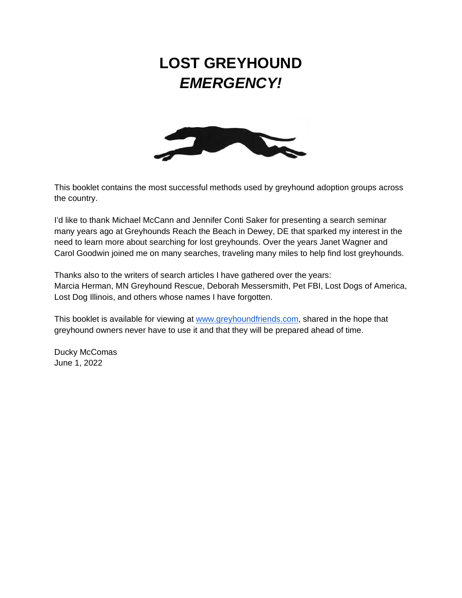### **LOST GREYHOUND**  *EMERGENCY!*



This booklet contains the most successful methods used by greyhound adoption groups across the country.

I'd like to thank Michael McCann and Jennifer Conti Saker for presenting a search seminar many years ago at Greyhounds Reach the Beach in Dewey, DE that sparked my interest in the need to learn more about searching for lost greyhounds. Over the years Janet Wagner and Carol Goodwin joined me on many searches, traveling many miles to help find lost greyhounds.

Thanks also to the writers of search articles I have gathered over the years: Marcia Herman, MN Greyhound Rescue, Deborah Messersmith, Pet FBI, Lost Dogs of America, Lost Dog Illinois, and others whose names I have forgotten.

This booklet is available for viewing at [www.greyhoundfriends.com,](http://www.greyhoundfriends.com/) shared in the hope that greyhound owners never have to use it and that they will be prepared ahead of time.

Ducky McComas June 1, 2022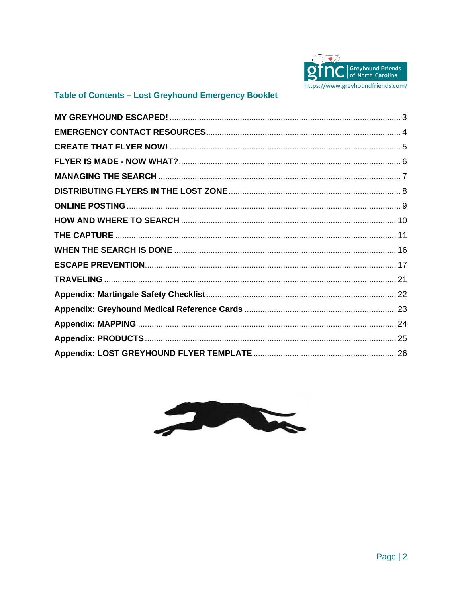

#### Table of Contents - Lost Greyhound Emergency Booklet

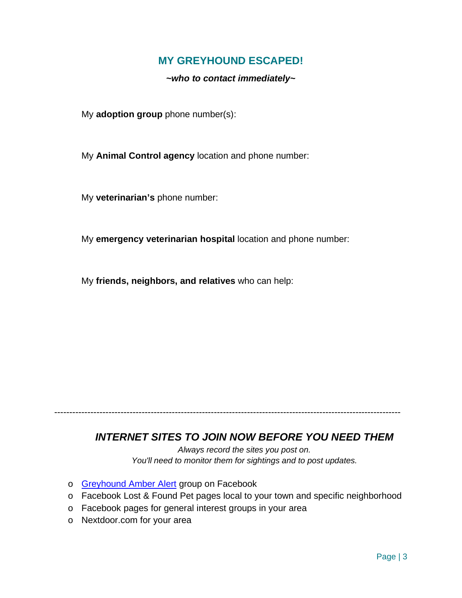#### **MY GREYHOUND ESCAPED!**

*~who to contact immediately~*

<span id="page-2-0"></span>My **adoption group** phone number(s):

My **Animal Control agency** location and phone number:

My **veterinarian's** phone number:

My **emergency veterinarian hospital** location and phone number:

My **friends, neighbors, and relatives** who can help:

#### *INTERNET SITES TO JOIN NOW BEFORE YOU NEED THEM*

-------------------------------------------------------------------------------------------------------------------

*Always record the sites you post on. You'll need to monitor them for sightings and to post updates.*

- o [Greyhound Amber Alert](https://www.facebook.com/groups/GreyhoundAmberAlert) group on Facebook
- o Facebook Lost & Found Pet pages local to your town and specific neighborhood
- o Facebook pages for general interest groups in your area
- o Nextdoor.com for your area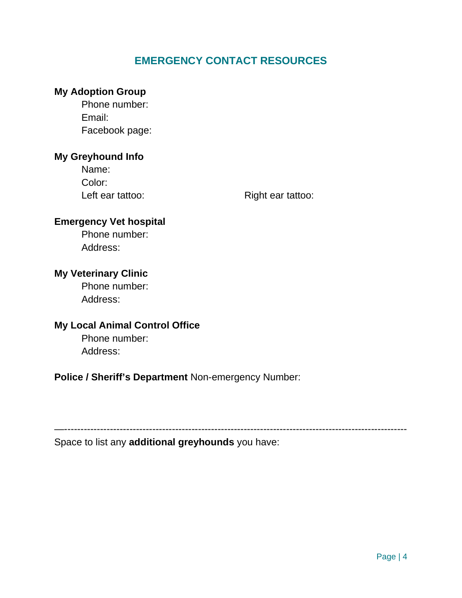#### **EMERGENCY CONTACT RESOURCES**

#### <span id="page-3-0"></span>**My Adoption Group**

Phone number: Email: Facebook page:

#### **My Greyhound Info**

Name: Color:

Left ear tattoo: Right ear tattoo:

#### **Emergency Vet hospital**

Phone number: Address:

#### **My Veterinary Clinic**

Phone number: Address:

#### **My Local Animal Control Office**

Phone number: Address:

#### **Police / Sheriff's Department** Non-emergency Number:

—---------------------------------------------------------------------------------------------------------

Space to list any **additional greyhounds** you have: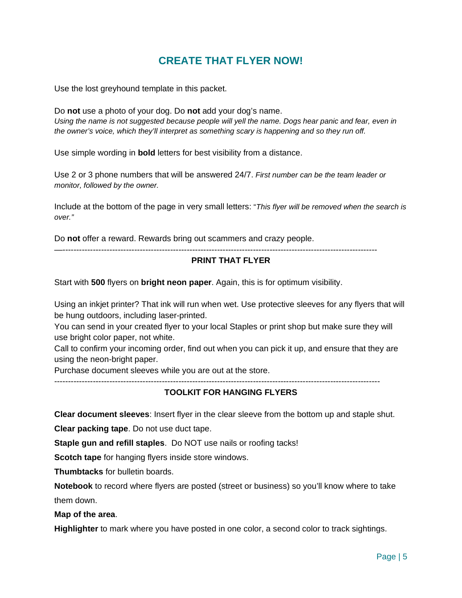#### **CREATE THAT FLYER NOW!**

<span id="page-4-0"></span>Use the lost greyhound template in this packet.

Do **not** use a photo of your dog. Do **not** add your dog's name. *Using the name is not suggested because people will yell the name. Dogs hear panic and fear, even in the owner's voice, which they'll interpret as something scary is happening and so they run off.*

Use simple wording in **bold** letters for best visibility from a distance.

Use 2 or 3 phone numbers that will be answered 24/7. *First number can be the team leader or monitor, followed by the owner.*

Include at the bottom of the page in very small letters: "*This flyer will be removed when the search is over."*

Do **not** offer a reward. Rewards bring out scammers and crazy people.

—------------------------------------------------------------------------------------------------------------------

#### **PRINT THAT FLYER**

Start with **500** flyers on **bright neon paper**. Again, this is for optimum visibility.

Using an inkjet printer? That ink will run when wet. Use protective sleeves for any flyers that will be hung outdoors, including laser-printed.

You can send in your created flyer to your local Staples or print shop but make sure they will use bright color paper, not white.

Call to confirm your incoming order, find out when you can pick it up, and ensure that they are using the neon-bright paper.

Purchase document sleeves while you are out at the store.

----------------------------------------------------------------------------------------------------------------------

#### **TOOLKIT FOR HANGING FLYERS**

**Clear document sleeves**: Insert flyer in the clear sleeve from the bottom up and staple shut.

**Clear packing tape**. Do not use duct tape.

**Staple gun and refill staples**. Do NOT use nails or roofing tacks!

**Scotch tape** for hanging flyers inside store windows.

**Thumbtacks** for bulletin boards.

**Notebook** to record where flyers are posted (street or business) so you'll know where to take them down.

**Map of the area**.

**Highlighter** to mark where you have posted in one color, a second color to track sightings.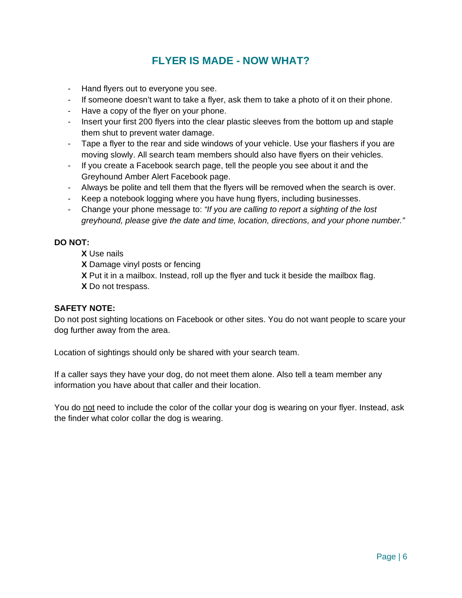#### **FLYER IS MADE - NOW WHAT?**

- <span id="page-5-0"></span>- Hand flyers out to everyone you see.
- If someone doesn't want to take a flyer, ask them to take a photo of it on their phone.
- Have a copy of the flyer on your phone.
- Insert your first 200 flyers into the clear plastic sleeves from the bottom up and staple them shut to prevent water damage.
- Tape a flyer to the rear and side windows of your vehicle. Use your flashers if you are moving slowly. All search team members should also have flyers on their vehicles.
- If you create a Facebook search page, tell the people you see about it and the Greyhound Amber Alert Facebook page.
- Always be polite and tell them that the flyers will be removed when the search is over.
- Keep a notebook logging where you have hung flyers, including businesses.
- Change your phone message to: *"If you are calling to report a sighting of the lost greyhound, please give the date and time, location, directions, and your phone number."*

#### **DO NOT:**

**X** Use nails

**X** Damage vinyl posts or fencing

**X** Put it in a mailbox. Instead, roll up the flyer and tuck it beside the mailbox flag. **X** Do not trespass.

#### **SAFETY NOTE:**

Do not post sighting locations on Facebook or other sites. You do not want people to scare your dog further away from the area.

Location of sightings should only be shared with your search team.

If a caller says they have your dog, do not meet them alone. Also tell a team member any information you have about that caller and their location.

You do not need to include the color of the collar your dog is wearing on your flyer. Instead, ask the finder what color collar the dog is wearing.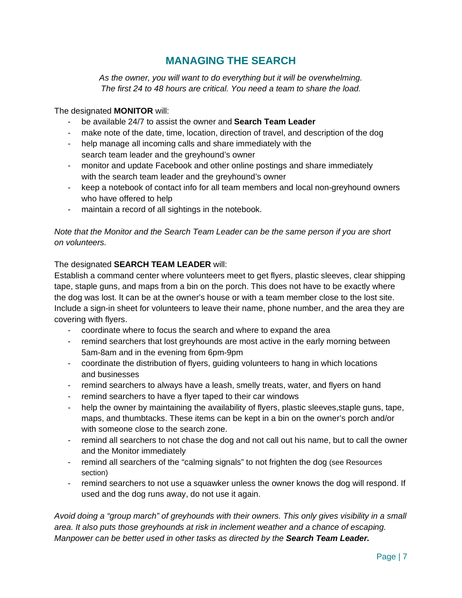#### **MANAGING THE SEARCH**

<span id="page-6-0"></span>*As the owner, you will want to do everything but it will be overwhelming. The first 24 to 48 hours are critical. You need a team to share the load.*

#### The designated **MONITOR** will:

- be available 24/7 to assist the owner and **Search Team Leader**
- make note of the date, time, location, direction of travel, and description of the dog
- help manage all incoming calls and share immediately with the search team leader and the greyhound's owner
- monitor and update Facebook and other online postings and share immediately with the search team leader and the greyhound's owner
- keep a notebook of contact info for all team members and local non-greyhound owners who have offered to help
- maintain a record of all sightings in the notebook.

#### *Note that the Monitor and the Search Team Leader can be the same person if you are short on volunteers.*

#### The designated **SEARCH TEAM LEADER** will:

Establish a command center where volunteers meet to get flyers, plastic sleeves, clear shipping tape, staple guns, and maps from a bin on the porch. This does not have to be exactly where the dog was lost. It can be at the owner's house or with a team member close to the lost site. Include a sign-in sheet for volunteers to leave their name, phone number, and the area they are covering with flyers.

- coordinate where to focus the search and where to expand the area
- remind searchers that lost greyhounds are most active in the early morning between 5am-8am and in the evening from 6pm-9pm
- coordinate the distribution of flyers, guiding volunteers to hang in which locations and businesses
- remind searchers to always have a leash, smelly treats, water, and flyers on hand
- remind searchers to have a flyer taped to their car windows
- help the owner by maintaining the availability of flyers, plastic sleeves, staple guns, tape, maps, and thumbtacks. These items can be kept in a bin on the owner's porch and/or with someone close to the search zone.
- remind all searchers to not chase the dog and not call out his name, but to call the owner and the Monitor immediately
- remind all searchers of the "calming signals" to not frighten the dog (see Resources section)
- remind searchers to not use a squawker unless the owner knows the dog will respond. If used and the dog runs away, do not use it again.

*Avoid doing a "group march" of greyhounds with their owners. This only gives visibility in a small area. It also puts those greyhounds at risk in inclement weather and a chance of escaping. Manpower can be better used in other tasks as directed by the Search Team Leader.*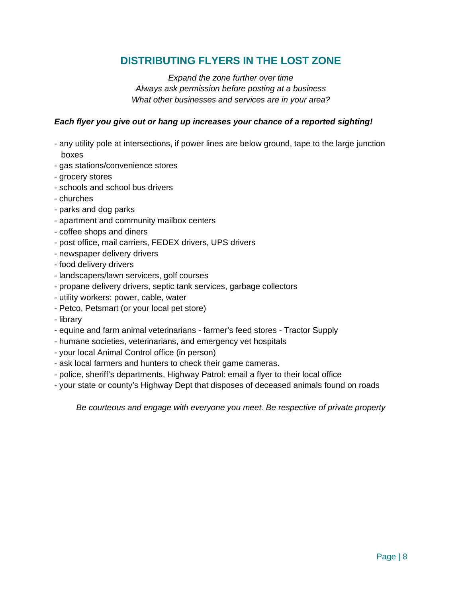#### **DISTRIBUTING FLYERS IN THE LOST ZONE**

*Expand the zone further over time Always ask permission before posting at a business What other businesses and services are in your area?*

#### <span id="page-7-0"></span>*Each flyer you give out or hang up increases your chance of a reported sighting!*

- any utility pole at intersections, if power lines are below ground, tape to the large junction boxes
- gas stations/convenience stores
- grocery stores
- schools and school bus drivers
- churches
- parks and dog parks
- apartment and community mailbox centers
- coffee shops and diners
- post office, mail carriers, FEDEX drivers, UPS drivers
- newspaper delivery drivers
- food delivery drivers
- landscapers/lawn servicers, golf courses
- propane delivery drivers, septic tank services, garbage collectors
- utility workers: power, cable, water
- Petco, Petsmart (or your local pet store)
- library
- equine and farm animal veterinarians farmer's feed stores Tractor Supply
- humane societies, veterinarians, and emergency vet hospitals
- your local Animal Control office (in person)
- ask local farmers and hunters to check their game cameras.
- police, sheriff's departments, Highway Patrol: email a flyer to their local office
- your state or county's Highway Dept that disposes of deceased animals found on roads

*Be courteous and engage with everyone you meet. Be respective of private property*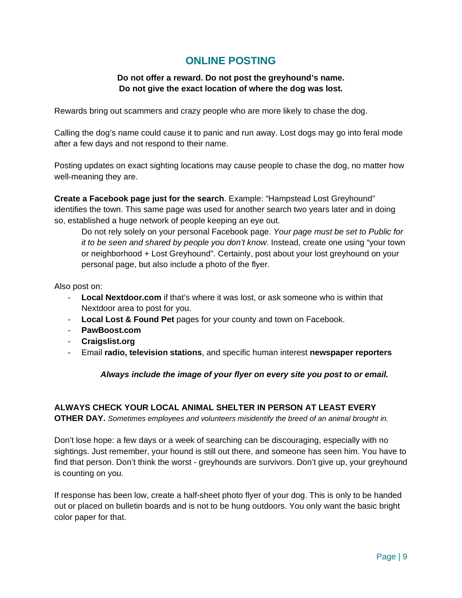#### **ONLINE POSTING**

#### **Do not offer a reward. Do not post the greyhound's name. Do not give the exact location of where the dog was lost.**

<span id="page-8-0"></span>Rewards bring out scammers and crazy people who are more likely to chase the dog.

Calling the dog's name could cause it to panic and run away. Lost dogs may go into feral mode after a few days and not respond to their name.

Posting updates on exact sighting locations may cause people to chase the dog, no matter how well-meaning they are.

**Create a Facebook page just for the search**. Example: "Hampstead Lost Greyhound" identifies the town. This same page was used for another search two years later and in doing so, established a huge network of people keeping an eye out.

Do not rely solely on your personal Facebook page. *Your page must be set to Public for it to be seen and shared by people you don't know*. Instead, create one using "your town or neighborhood + Lost Greyhound". Certainly, post about your lost greyhound on your personal page, but also include a photo of the flyer.

Also post on:

- **Local Nextdoor.com** if that's where it was lost, or ask someone who is within that Nextdoor area to post for you.
- **Local Lost & Found Pet** pages for your county and town on Facebook.
- **PawBoost.com**
- **Craigslist.org**
- Email **radio, television stations**, and specific human interest **newspaper reporters**

*Always include the image of your flyer on every site you post to or email.*

#### **ALWAYS CHECK YOUR LOCAL ANIMAL SHELTER IN PERSON AT LEAST EVERY**

**OTHER DAY.** *Sometimes employees and volunteers misidentify the breed of an animal brought in.*

Don't lose hope: a few days or a week of searching can be discouraging, especially with no sightings. Just remember, your hound is still out there, and someone has seen him. You have to find that person. Don't think the worst - greyhounds are survivors. Don't give up, your greyhound is counting on you.

If response has been low, create a half-sheet photo flyer of your dog. This is only to be handed out or placed on bulletin boards and is not to be hung outdoors. You only want the basic bright color paper for that.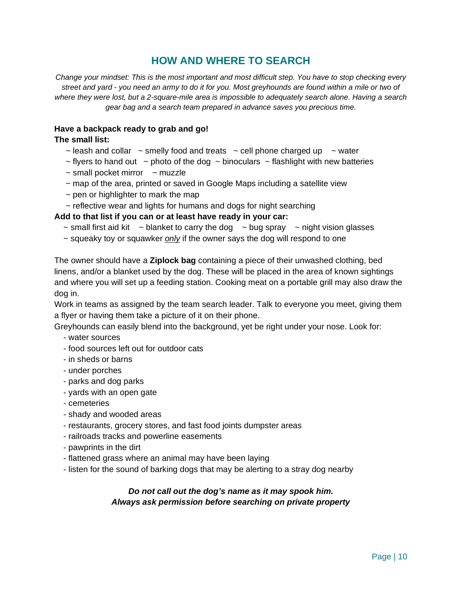#### **HOW AND WHERE TO SEARCH**

<span id="page-9-0"></span>*Change your mindset: This is the most important and most difficult step. You have to stop checking every street and yard - you need an army to do it for you. Most greyhounds are found within a mile or two of where they were lost, but a 2-square-mile area is impossible to adequately search alone. Having a search gear bag and a search team prepared in advance saves you precious time.*

#### **Have a backpack ready to grab and go!**

#### **The small list:**

- $\sim$  leash and collar  $\sim$  smelly food and treats  $\sim$  cell phone charged up  $\sim$  water
- $\sim$  flyers to hand out  $\sim$  photo of the dog  $\sim$  binoculars  $\sim$  flashlight with new batteries
- $\sim$  small pocket mirror  $\sim$  muzzle
- ~ map of the area, printed or saved in Google Maps including a satellite view
- $\sim$  pen or highlighter to mark the map
- $\sim$  reflective wear and lights for humans and dogs for night searching

#### **Add to that list if you can or at least have ready in your car:**

- $\sim$  small first aid kit  $\sim$  blanket to carry the dog  $\sim$  bug spray  $\sim$  night vision glasses
- ~ squeaky toy or squawker *only* if the owner says the dog will respond to one

The owner should have a **Ziplock bag** containing a piece of their unwashed clothing, bed linens, and/or a blanket used by the dog. These will be placed in the area of known sightings and where you will set up a feeding station. Cooking meat on a portable grill may also draw the dog in.

Work in teams as assigned by the team search leader. Talk to everyone you meet, giving them a flyer or having them take a picture of it on their phone.

Greyhounds can easily blend into the background, yet be right under your nose. Look for:

- water sources
- food sources left out for outdoor cats
- in sheds or barns
- under porches
- parks and dog parks
- yards with an open gate
- cemeteries
- shady and wooded areas
- restaurants, grocery stores, and fast food joints dumpster areas
- railroads tracks and powerline easements
- pawprints in the dirt
- flattened grass where an animal may have been laying
- listen for the sound of barking dogs that may be alerting to a stray dog nearby

#### *Do not call out the dog's name as it may spook him. Always ask permission before searching on private property*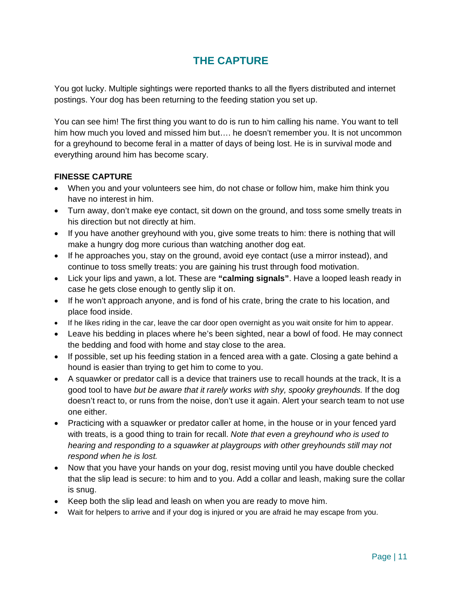#### **THE CAPTURE**

<span id="page-10-0"></span>You got lucky. Multiple sightings were reported thanks to all the flyers distributed and internet postings. Your dog has been returning to the feeding station you set up.

You can see him! The first thing you want to do is run to him calling his name. You want to tell him how much you loved and missed him but.... he doesn't remember you. It is not uncommon for a greyhound to become feral in a matter of days of being lost. He is in survival mode and everything around him has become scary.

#### **FINESSE CAPTURE**

- When you and your volunteers see him, do not chase or follow him, make him think you have no interest in him.
- Turn away, don't make eye contact, sit down on the ground, and toss some smelly treats in his direction but not directly at him.
- If you have another greyhound with you, give some treats to him: there is nothing that will make a hungry dog more curious than watching another dog eat.
- If he approaches you, stay on the ground, avoid eye contact (use a mirror instead), and continue to toss smelly treats: you are gaining his trust through food motivation.
- Lick your lips and yawn, a lot. These are **"calming signals"**. Have a looped leash ready in case he gets close enough to gently slip it on.
- If he won't approach anyone, and is fond of his crate, bring the crate to his location, and place food inside.
- If he likes riding in the car, leave the car door open overnight as you wait onsite for him to appear.
- Leave his bedding in places where he's been sighted, near a bowl of food. He may connect the bedding and food with home and stay close to the area.
- If possible, set up his feeding station in a fenced area with a gate. Closing a gate behind a hound is easier than trying to get him to come to you.
- A squawker or predator call is a device that trainers use to recall hounds at the track, It is a good tool to have *but be aware that it rarely works with shy, spooky greyhounds.* If the dog doesn't react to, or runs from the noise, don't use it again. Alert your search team to not use one either.
- Practicing with a squawker or predator caller at home, in the house or in your fenced yard with treats, is a good thing to train for recall. *Note that even a greyhound who is used to hearing and responding to a squawker at playgroups with other greyhounds still may not respond when he is lost.*
- Now that you have your hands on your dog, resist moving until you have double checked that the slip lead is secure: to him and to you. Add a collar and leash, making sure the collar is snug.
- Keep both the slip lead and leash on when you are ready to move him.
- Wait for helpers to arrive and if your dog is injured or you are afraid he may escape from you.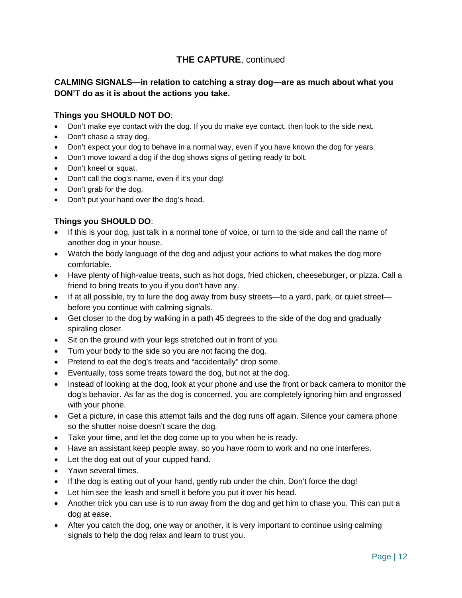#### **CALMING SIGNALS—in relation to catching a stray dog—are as much about what you DON'T do as it is about the actions you take.**

#### **Things you SHOULD NOT DO**:

- Don't make eye contact with the dog. If you do make eye contact, then look to the side next.
- Don't chase a stray dog.
- Don't expect your dog to behave in a normal way, even if you have known the dog for years.
- Don't move toward a dog if the dog shows signs of getting ready to bolt.
- Don't kneel or squat.
- Don't call the dog's name, even if it's your dog!
- Don't grab for the dog.
- Don't put your hand over the dog's head.

#### **Things you SHOULD DO**:

- If this is your dog, just talk in a normal tone of voice, or turn to the side and call the name of another dog in your house.
- Watch the body language of the dog and adjust your actions to what makes the dog more comfortable.
- Have plenty of high-value treats, such as hot dogs, fried chicken, cheeseburger, or pizza. Call a friend to bring treats to you if you don't have any.
- If at all possible, try to lure the dog away from busy streets—to a yard, park, or quiet street before you continue with calming signals.
- Get closer to the dog by walking in a path 45 degrees to the side of the dog and gradually spiraling closer.
- Sit on the ground with your legs stretched out in front of you.
- Turn your body to the side so you are not facing the dog.
- Pretend to eat the dog's treats and "accidentally" drop some.
- Eventually, toss some treats toward the dog, but not at the dog.
- Instead of looking at the dog, look at your phone and use the front or back camera to monitor the dog's behavior. As far as the dog is concerned, you are completely ignoring him and engrossed with your phone.
- Get a picture, in case this attempt fails and the dog runs off again. Silence your camera phone so the shutter noise doesn't scare the dog.
- Take your time, and let the dog come up to you when he is ready.
- Have an assistant keep people away, so you have room to work and no one interferes.
- Let the dog eat out of your cupped hand.
- Yawn several times.
- If the dog is eating out of your hand, gently rub under the chin. Don't force the dog!
- Let him see the leash and smell it before you put it over his head.
- Another trick you can use is to run away from the dog and get him to chase you. This can put a dog at ease.
- After you catch the dog, one way or another, it is very important to continue using calming signals to help the dog relax and learn to trust you.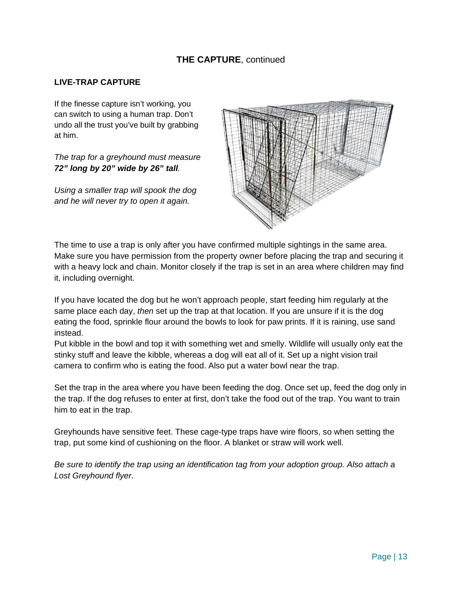#### **LIVE-TRAP CAPTURE**

If the finesse capture isn't working, you can switch to using a human trap. Don't undo all the trust you've built by grabbing at him.

*The trap for a greyhound must measure 72" long by 20" wide by 26" tall.*

*Using a smaller trap will spook the dog and he will never try to open it again.* 



The time to use a trap is only after you have confirmed multiple sightings in the same area. Make sure you have permission from the property owner before placing the trap and securing it with a heavy lock and chain. Monitor closely if the trap is set in an area where children may find it, including overnight.

If you have located the dog but he won't approach people, start feeding him regularly at the same place each day, *then* set up the trap at that location. If you are unsure if it is the dog eating the food, sprinkle flour around the bowls to look for paw prints. If it is raining, use sand instead.

Put kibble in the bowl and top it with something wet and smelly. Wildlife will usually only eat the stinky stuff and leave the kibble, whereas a dog will eat all of it. Set up a night vision trail camera to confirm who is eating the food. Also put a water bowl near the trap.

Set the trap in the area where you have been feeding the dog. Once set up, feed the dog only in the trap. If the dog refuses to enter at first, don't take the food out of the trap. You want to train him to eat in the trap.

Greyhounds have sensitive feet. These cage-type traps have wire floors, so when setting the trap, put some kind of cushioning on the floor. A blanket or straw will work well.

*Be sure to identify the trap using an identification tag from your adoption group. Also attach a Lost Greyhound flyer*.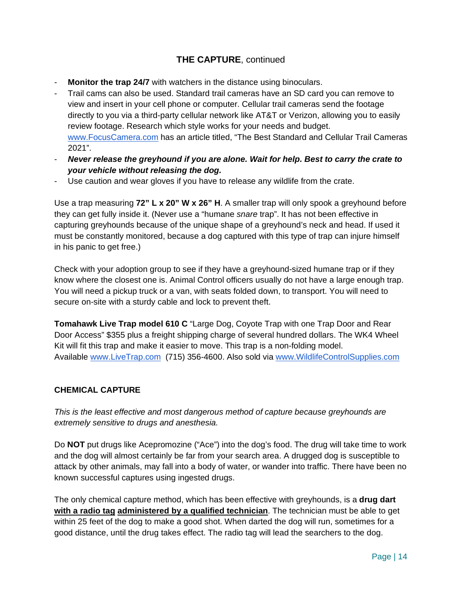- **Monitor the trap 24/7** with watchers in the distance using binoculars.
- Trail cams can also be used. Standard trail cameras have an SD card you can remove to view and insert in your cell phone or computer. Cellular trail cameras send the footage directly to you via a third-party cellular network like AT&T or Verizon, allowing you to easily review footage. Research which style works for your needs and budget. [www.FocusCamera.com](http://www.focuscamera.com/) has an article titled, "The Best Standard and Cellular Trail Cameras 2021".
- *Never release the greyhound if you are alone. Wait for help. Best to carry the crate to your vehicle without releasing the dog.*
- Use caution and wear gloves if you have to release any wildlife from the crate.

Use a trap measuring **72" L x 20" W x 26" H**. A smaller trap will only spook a greyhound before they can get fully inside it. (Never use a "humane *snare* trap". It has not been effective in capturing greyhounds because of the unique shape of a greyhound's neck and head. If used it must be constantly monitored, because a dog captured with this type of trap can injure himself in his panic to get free.)

Check with your adoption group to see if they have a greyhound-sized humane trap or if they know where the closest one is. Animal Control officers usually do not have a large enough trap. You will need a pickup truck or a van, with seats folded down, to transport. You will need to secure on-site with a sturdy cable and lock to prevent theft.

**Tomahawk Live Trap model 610 C** "Large Dog, Coyote Trap with one Trap Door and Rear Door Access" \$355 plus a freight shipping charge of several hundred dollars. The WK4 Wheel Kit will fit this trap and make it easier to move. This trap is a non-folding model. Available [www.LiveTrap.com](http://www.livetrap.com/) (715) 356-4600. Also sold via [www.WildlifeControlSupplies.com](http://www.wildlifecontrolsupplies.com/)

#### **CHEMICAL CAPTURE**

*This is the least effective and most dangerous method of capture because greyhounds are extremely sensitive to drugs and anesthesia.*

Do **NOT** put drugs like Acepromozine ("Ace") into the dog's food. The drug will take time to work and the dog will almost certainly be far from your search area. A drugged dog is susceptible to attack by other animals, may fall into a body of water, or wander into traffic. There have been no known successful captures using ingested drugs.

The only chemical capture method, which has been effective with greyhounds, is a **drug dart with a radio tag administered by a qualified technician**. The technician must be able to get within 25 feet of the dog to make a good shot. When darted the dog will run, sometimes for a good distance, until the drug takes effect. The radio tag will lead the searchers to the dog.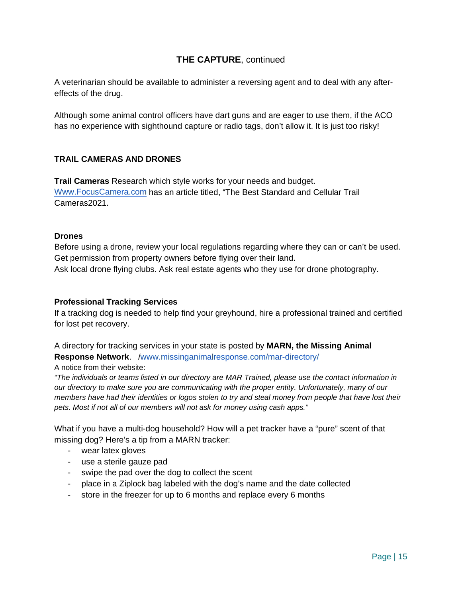A veterinarian should be available to administer a reversing agent and to deal with any aftereffects of the drug.

Although some animal control officers have dart guns and are eager to use them, if the ACO has no experience with sighthound capture or radio tags, don't allow it. It is just too risky!

#### **TRAIL CAMERAS AND DRONES**

**Trail Cameras** Research which style works for your needs and budget. [Www.FocusCamera.com](http://www.focuscamera.com/) has an article titled, "The Best Standard and Cellular Trail Cameras2021.

#### **Drones**

Before using a drone, review your local regulations regarding where they can or can't be used. Get permission from property owners before flying over their land. Ask local drone flying clubs. Ask real estate agents who they use for drone photography.

#### **Professional Tracking Services**

If a tracking dog is needed to help find your greyhound, hire a professional trained and certified for lost pet recovery.

A directory for tracking services in your state is posted by **MARN, the Missing Animal Response Network**. [/www.missinganimalresponse.com/mar-directory/](http://www.missinganimalresponse.com/mar-directory/)

A notice from their website:

*"The individuals or teams listed in our directory are MAR Trained, please use the contact information in our directory to make sure you are communicating with the proper entity. Unfortunately, many of our members have had their identities or logos stolen to try and steal money from people that have lost their pets. Most if not all of our members will not ask for money using cash apps."*

What if you have a multi-dog household? How will a pet tracker have a "pure" scent of that missing dog? Here's a tip from a MARN tracker:

- wear latex gloves
- use a sterile gauze pad
- swipe the pad over the dog to collect the scent
- place in a Ziplock bag labeled with the dog's name and the date collected
- store in the freezer for up to 6 months and replace every 6 months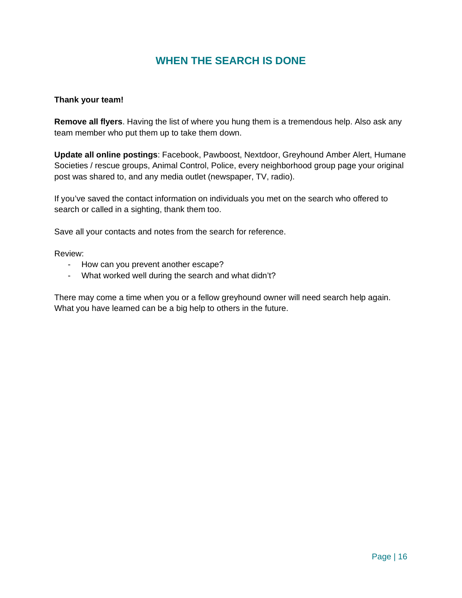#### **WHEN THE SEARCH IS DONE**

#### <span id="page-15-0"></span>**Thank your team!**

**Remove all flyers**. Having the list of where you hung them is a tremendous help. Also ask any team member who put them up to take them down.

**Update all online postings**: Facebook, Pawboost, Nextdoor, Greyhound Amber Alert, Humane Societies / rescue groups, Animal Control, Police, every neighborhood group page your original post was shared to, and any media outlet (newspaper, TV, radio).

If you've saved the contact information on individuals you met on the search who offered to search or called in a sighting, thank them too.

Save all your contacts and notes from the search for reference.

Review:

- How can you prevent another escape?
- What worked well during the search and what didn't?

There may come a time when you or a fellow greyhound owner will need search help again. What you have learned can be a big help to others in the future.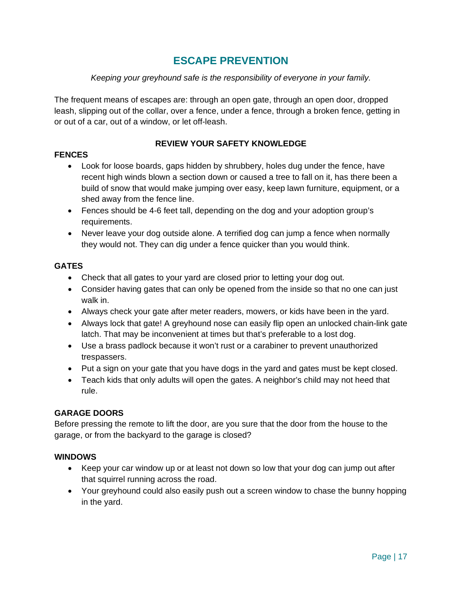#### **ESCAPE PREVENTION**

#### *Keeping your greyhound safe is the responsibility of everyone in your family.*

<span id="page-16-0"></span>The frequent means of escapes are: through an open gate, through an open door, dropped leash, slipping out of the collar, over a fence, under a fence, through a broken fence, getting in or out of a car, out of a window, or let off-leash.

#### **REVIEW YOUR SAFETY KNOWLEDGE**

#### **FENCES**

- Look for loose boards, gaps hidden by shrubbery, holes dug under the fence, have recent high winds blown a section down or caused a tree to fall on it, has there been a build of snow that would make jumping over easy, keep lawn furniture, equipment, or a shed away from the fence line.
- Fences should be 4-6 feet tall, depending on the dog and your adoption group's requirements.
- Never leave your dog outside alone. A terrified dog can jump a fence when normally they would not. They can dig under a fence quicker than you would think.

#### **GATES**

- Check that all gates to your yard are closed prior to letting your dog out.
- Consider having gates that can only be opened from the inside so that no one can just walk in.
- Always check your gate after meter readers, mowers, or kids have been in the yard.
- Always lock that gate! A greyhound nose can easily flip open an unlocked chain-link gate latch. That may be inconvenient at times but that's preferable to a lost dog.
- Use a brass padlock because it won't rust or a carabiner to prevent unauthorized trespassers.
- Put a sign on your gate that you have dogs in the yard and gates must be kept closed.
- Teach kids that only adults will open the gates. A neighbor's child may not heed that rule.

#### **GARAGE DOORS**

Before pressing the remote to lift the door, are you sure that the door from the house to the garage, or from the backyard to the garage is closed?

#### **WINDOWS**

- Keep your car window up or at least not down so low that your dog can jump out after that squirrel running across the road.
- Your greyhound could also easily push out a screen window to chase the bunny hopping in the yard.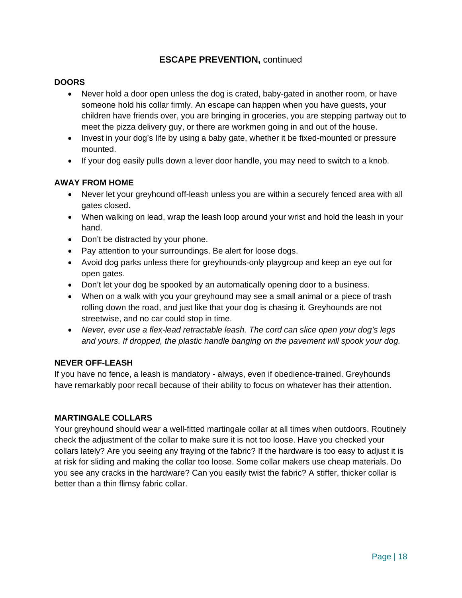#### **ESCAPE PREVENTION,** continued

#### **DOORS**

- Never hold a door open unless the dog is crated, baby-gated in another room, or have someone hold his collar firmly. An escape can happen when you have guests, your children have friends over, you are bringing in groceries, you are stepping partway out to meet the pizza delivery guy, or there are workmen going in and out of the house.
- Invest in your dog's life by using a baby gate, whether it be fixed-mounted or pressure mounted.
- If your dog easily pulls down a lever door handle, you may need to switch to a knob.

#### **AWAY FROM HOME**

- Never let your greyhound off-leash unless you are within a securely fenced area with all gates closed.
- When walking on lead, wrap the leash loop around your wrist and hold the leash in your hand.
- Don't be distracted by your phone.
- Pay attention to your surroundings. Be alert for loose dogs.
- Avoid dog parks unless there for greyhounds-only playgroup and keep an eye out for open gates.
- Don't let your dog be spooked by an automatically opening door to a business.
- When on a walk with you your greyhound may see a small animal or a piece of trash rolling down the road, and just like that your dog is chasing it. Greyhounds are not streetwise, and no car could stop in time.
- *Never, ever use a flex-lead retractable leash. The cord can slice open your dog's legs and yours. If dropped, the plastic handle banging on the pavement will spook your dog.*

#### **NEVER OFF-LEASH**

If you have no fence, a leash is mandatory - always, even if obedience-trained. Greyhounds have remarkably poor recall because of their ability to focus on whatever has their attention.

#### **MARTINGALE COLLARS**

Your greyhound should wear a well-fitted martingale collar at all times when outdoors. Routinely check the adjustment of the collar to make sure it is not too loose. Have you checked your collars lately? Are you seeing any fraying of the fabric? If the hardware is too easy to adjust it is at risk for sliding and making the collar too loose. Some collar makers use cheap materials. Do you see any cracks in the hardware? Can you easily twist the fabric? A stiffer, thicker collar is better than a thin flimsy fabric collar.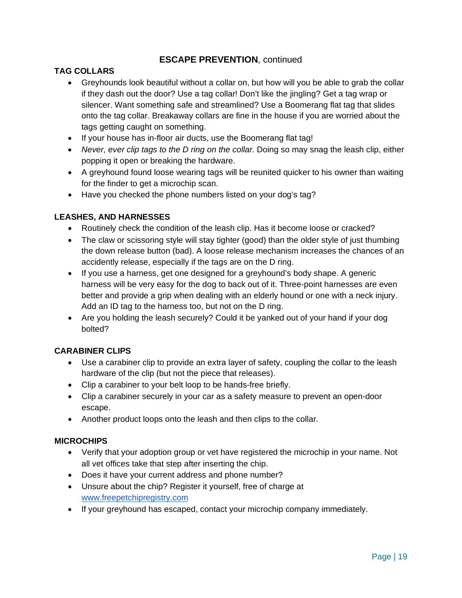#### **ESCAPE PREVENTION**, continued

#### **TAG COLLARS**

- Greyhounds look beautiful without a collar on, but how will you be able to grab the collar if they dash out the door? Use a tag collar! Don't like the jingling? Get a tag wrap or silencer. Want something safe and streamlined? Use a Boomerang flat tag that slides onto the tag collar. Breakaway collars are fine in the house if you are worried about the tags getting caught on something.
- If your house has in-floor air ducts, use the Boomerang flat tag!
- *Never, ever clip tags to the D ring on the collar.* Doing so may snag the leash clip, either popping it open or breaking the hardware.
- A greyhound found loose wearing tags will be reunited quicker to his owner than waiting for the finder to get a microchip scan.
- Have you checked the phone numbers listed on your dog's tag?

#### **LEASHES, AND HARNESSES**

- Routinely check the condition of the leash clip. Has it become loose or cracked?
- The claw or scissoring style will stay tighter (good) than the older style of just thumbing the down release button (bad). A loose release mechanism increases the chances of an accidently release, especially if the tags are on the D ring.
- If you use a harness, get one designed for a greyhound's body shape. A generic harness will be very easy for the dog to back out of it. Three-point harnesses are even better and provide a grip when dealing with an elderly hound or one with a neck injury. Add an ID tag to the harness too, but not on the D ring.
- Are you holding the leash securely? Could it be yanked out of your hand if your dog bolted?

#### **CARABINER CLIPS**

- Use a carabiner clip to provide an extra layer of safety, coupling the collar to the leash hardware of the clip (but not the piece that releases).
- Clip a carabiner to your belt loop to be hands-free briefly.
- Clip a carabiner securely in your car as a safety measure to prevent an open-door escape.
- Another product loops onto the leash and then clips to the collar.

#### **MICROCHIPS**

- Verify that your adoption group or vet have registered the microchip in your name. Not all vet offices take that step after inserting the chip.
- Does it have your current address and phone number?
- Unsure about the chip? Register it yourself, free of charge at [www.freepetchipregistry.com](http://www.freepetchipregistry.com/)
- If your greyhound has escaped, contact your microchip company immediately.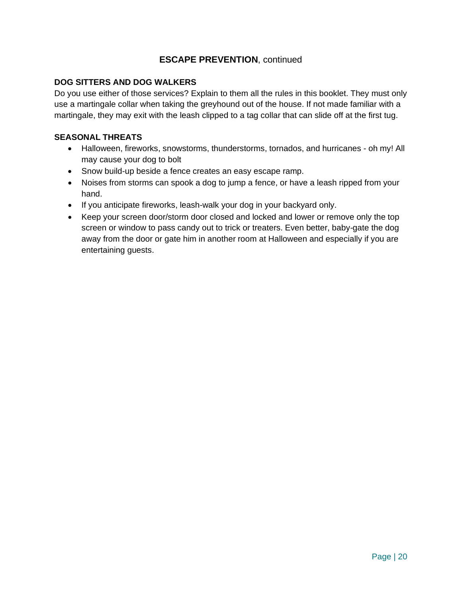#### **ESCAPE PREVENTION**, continued

#### **DOG SITTERS AND DOG WALKERS**

Do you use either of those services? Explain to them all the rules in this booklet. They must only use a martingale collar when taking the greyhound out of the house. If not made familiar with a martingale, they may exit with the leash clipped to a tag collar that can slide off at the first tug.

#### **SEASONAL THREATS**

- Halloween, fireworks, snowstorms, thunderstorms, tornados, and hurricanes oh my! All may cause your dog to bolt
- Snow build-up beside a fence creates an easy escape ramp.
- Noises from storms can spook a dog to jump a fence, or have a leash ripped from your hand.
- If you anticipate fireworks, leash-walk your dog in your backyard only.
- Keep your screen door/storm door closed and locked and lower or remove only the top screen or window to pass candy out to trick or treaters. Even better, baby-gate the dog away from the door or gate him in another room at Halloween and especially if you are entertaining guests.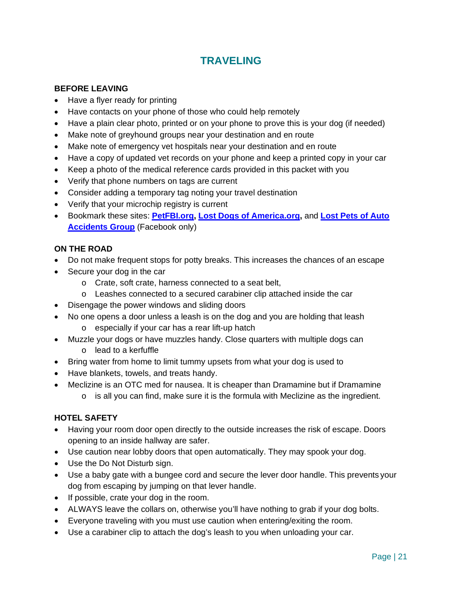#### **TRAVELING**

#### <span id="page-20-0"></span>**BEFORE LEAVING**

- Have a flyer ready for printing
- Have contacts on your phone of those who could help remotely
- Have a plain clear photo, printed or on your phone to prove this is your dog (if needed)
- Make note of greyhound groups near your destination and en route
- Make note of emergency vet hospitals near your destination and en route
- Have a copy of updated vet records on your phone and keep a printed copy in your car
- Keep a photo of the medical reference cards provided in this packet with you
- Verify that phone numbers on tags are current
- Consider adding a temporary tag noting your travel destination
- Verify that your microchip registry is current
- Bookmark these sites: **[PetFBI.org,](https://petfbi.org/) [Lost Dogs of America.org,](https://lostdogsofamerica.org/)** and **[Lost Pets of Auto](https://www.facebook.com/groups/2274781756130407/)  [Accidents Group](https://www.facebook.com/groups/2274781756130407/)** (Facebook only)

#### **ON THE ROAD**

- Do not make frequent stops for potty breaks. This increases the chances of an escape
- Secure your dog in the car
	- o Crate, soft crate, harness connected to a seat belt,
	- o Leashes connected to a secured carabiner clip attached inside the car
- Disengage the power windows and sliding doors
- No one opens a door unless a leash is on the dog and you are holding that leash o especially if your car has a rear lift-up hatch
- Muzzle your dogs or have muzzles handy. Close quarters with multiple dogs can
	- o lead to a kerfuffle
- Bring water from home to limit tummy upsets from what your dog is used to
- Have blankets, towels, and treats handy.
- Meclizine is an OTC med for nausea. It is cheaper than Dramamine but if Dramamine o is all you can find, make sure it is the formula with Meclizine as the ingredient.

#### **HOTEL SAFETY**

- Having your room door open directly to the outside increases the risk of escape. Doors opening to an inside hallway are safer.
- Use caution near lobby doors that open automatically. They may spook your dog.
- Use the Do Not Disturb sign.
- Use a baby gate with a bungee cord and secure the lever door handle. This prevents your dog from escaping by jumping on that lever handle.
- If possible, crate your dog in the room.
- ALWAYS leave the collars on, otherwise you'll have nothing to grab if your dog bolts.
- Everyone traveling with you must use caution when entering/exiting the room.
- Use a carabiner clip to attach the dog's leash to you when unloading your car.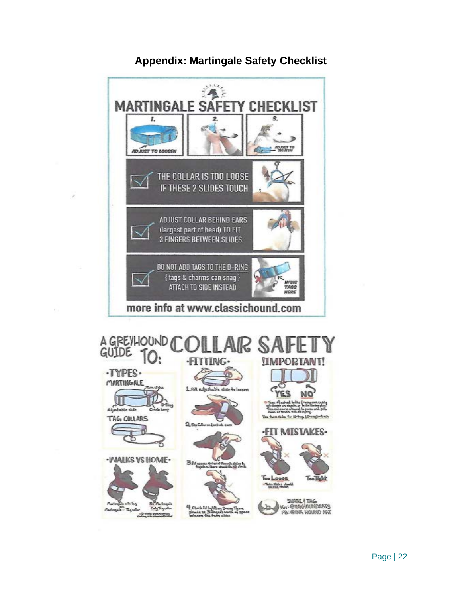<span id="page-21-0"></span>

#### **Appendix: Martingale Safety Checklist**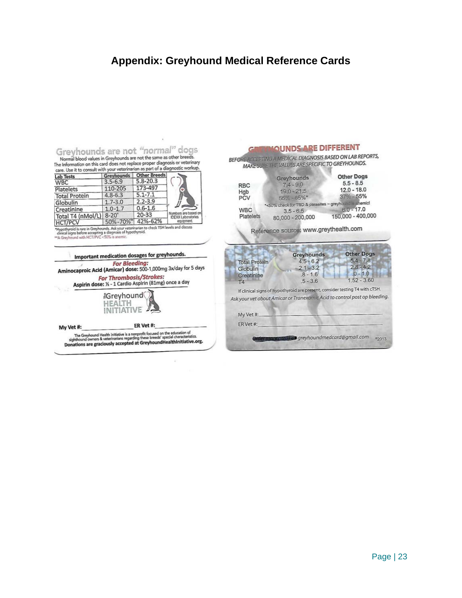#### <span id="page-22-0"></span>**Appendix: Greyhound Medical Reference Cards**

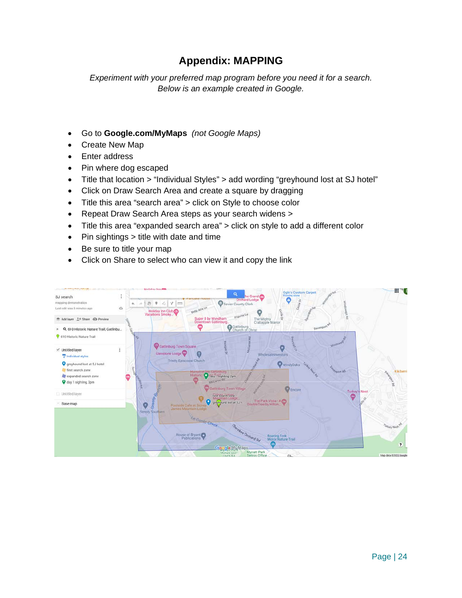#### **Appendix: MAPPING**

<span id="page-23-0"></span>*Experiment with your preferred map program before you need it for a search. Below is an example created in Google.* 

- Go to **Google.com/MyMaps** *(not Google Maps)*
- Create New Map
- Enter address
- Pin where dog escaped
- Title that location > "Individual Styles" > add wording "greyhound lost at SJ hotel"
- Click on Draw Search Area and create a square by dragging
- Title this area "search area" > click on Style to choose color
- Repeat Draw Search Area steps as your search widens >
- Title this area "expanded search area" > click on style to add a different color
- Pin sightings > title with date and time
- Be sure to title your map
- Click on Share to select who can view it and copy the link

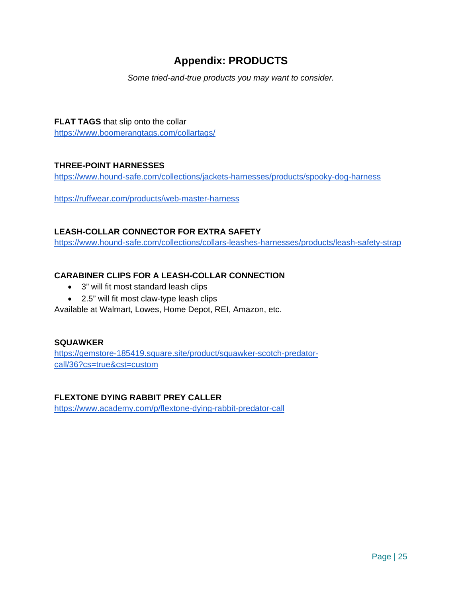#### **Appendix: PRODUCTS**

*Some tried-and-true products you may want to consider.* 

#### <span id="page-24-0"></span>**FLAT TAGS** that slip onto the collar

<https://www.boomerangtags.com/collartags/>

#### **THREE-POINT HARNESSES**

<https://www.hound-safe.com/collections/jackets-harnesses/products/spooky-dog-harness>

<https://ruffwear.com/products/web-master-harness>

#### **LEASH-COLLAR CONNECTOR FOR EXTRA SAFETY**

<https://www.hound-safe.com/collections/collars-leashes-harnesses/products/leash-safety-strap>

#### **CARABINER CLIPS FOR A LEASH-COLLAR CONNECTION**

- 3" will fit most standard leash clips
- 2.5" will fit most claw-type leash clips

Available at Walmart, Lowes, Home Depot, REI, Amazon, etc.

#### **SQUAWKER**

[https://gemstore-185419.square.site/product/squawker-scotch-predator](https://gemstore-185419.square.site/product/squawker-scotch-predator-call/36?cs=true&cst=custom)[call/36?cs=true&cst=custom](https://gemstore-185419.square.site/product/squawker-scotch-predator-call/36?cs=true&cst=custom)

#### **FLEXTONE DYING RABBIT PREY CALLER**

<https://www.academy.com/p/flextone-dying-rabbit-predator-call>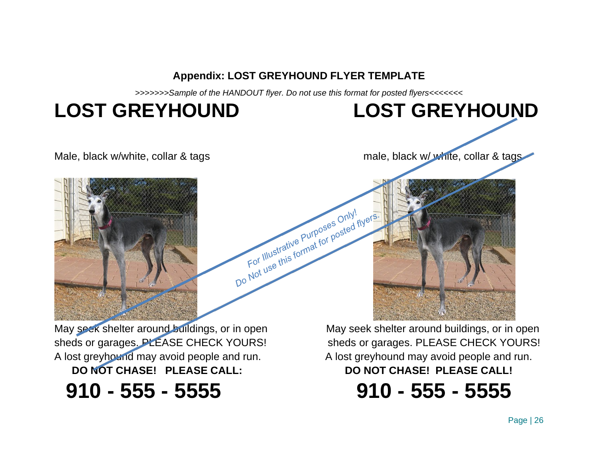**Appendix: LOST GREYHOUND FLYER TEMPLATE**

*>>>>>>>Sample of the HANDOUT flyer. Do not use this format for posted flyers<<<<<<<*

For Illustrative Purposes Only!<br>For Illustrative Purposes Only!<br>For Illustrative Purposes Only! Do Not use this format for posted flyers.

## **LOST GREYHOUND LOST GREYHOUND**

<span id="page-25-0"></span>

Male, black w/white, collar & tags male, black w/ white, collar & tags

F May seek shelter around buildings, or in open May seek shelter around buildings, or in open sheds or garages. PLEASE CHECK YOURS! sheds or garages. PLEASE CHECK YOURS! A lost greyhound may avoid people and run. A lost greyhound may avoid people and run. **DO NOT CHASE! PLEASE CALL: DO NOT CHASE! PLEASE CALL!**

 **910 - 555 - 5555 910 - 555 - 5555**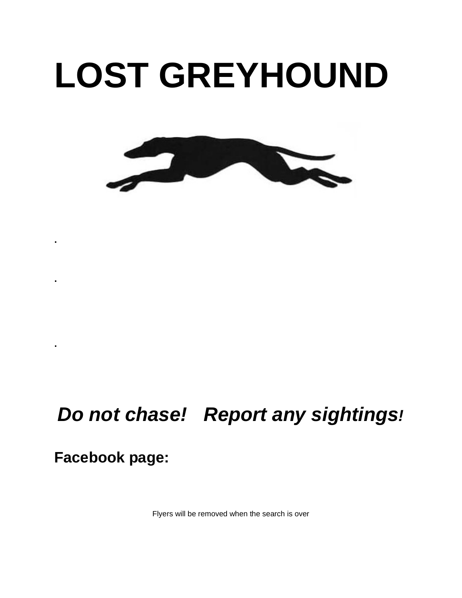## **LOST GREYHOUND**



### *Do not chase! Report any sightings!*

**Facebook page:** 

**.**

**.**

**.**

Flyers will be removed when the search is over